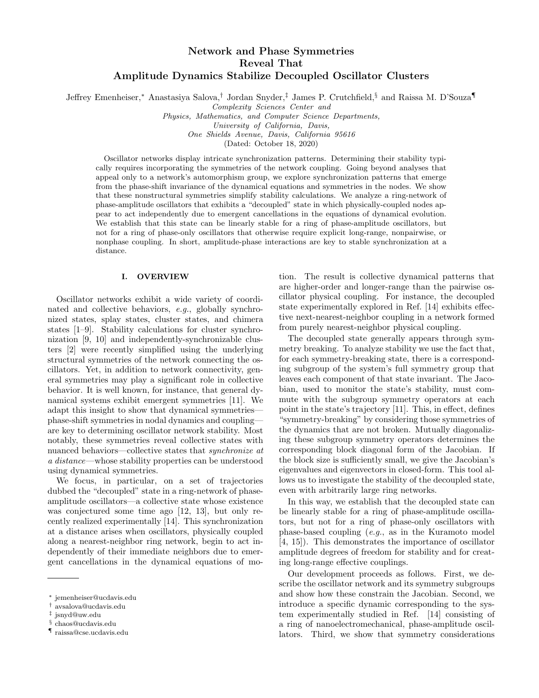# Network and Phase Symmetries Reveal That Amplitude Dynamics Stabilize Decoupled Oscillator Clusters

Jeffrey Emenheiser,<sup>∗</sup> Anastasiya Salova,† Jordan Snyder,‡ James P. Crutchfield,§ and Raissa M. D'Souza¶

Complexity Sciences Center and

Physics, Mathematics, and Computer Science Departments, University of California, Davis, One Shields Avenue, Davis, California 95616

(Dated: October 18, 2020)

Oscillator networks display intricate synchronization patterns. Determining their stability typically requires incorporating the symmetries of the network coupling. Going beyond analyses that appeal only to a network's automorphism group, we explore synchronization patterns that emerge from the phase-shift invariance of the dynamical equations and symmetries in the nodes. We show that these nonstructural symmetries simplify stability calculations. We analyze a ring-network of phase-amplitude oscillators that exhibits a "decoupled" state in which physically-coupled nodes appear to act independently due to emergent cancellations in the equations of dynamical evolution. We establish that this state can be linearly stable for a ring of phase-amplitude oscillators, but not for a ring of phase-only oscillators that otherwise require explicit long-range, nonpairwise, or nonphase coupling. In short, amplitude-phase interactions are key to stable synchronization at a distance.

# I. OVERVIEW

Oscillator networks exhibit a wide variety of coordinated and collective behaviors, e.g., globally synchronized states, splay states, cluster states, and chimera states [1–9]. Stability calculations for cluster synchronization [9, 10] and independently-synchronizable clusters [2] were recently simplified using the underlying structural symmetries of the network connecting the oscillators. Yet, in addition to network connectivity, general symmetries may play a significant role in collective behavior. It is well known, for instance, that general dynamical systems exhibit emergent symmetries [11]. We adapt this insight to show that dynamical symmetries phase-shift symmetries in nodal dynamics and coupling are key to determining oscillator network stability. Most notably, these symmetries reveal collective states with nuanced behaviors—collective states that *synchronize* at a distance—whose stability properties can be understood using dynamical symmetries.

We focus, in particular, on a set of trajectories dubbed the "decoupled" state in a ring-network of phaseamplitude oscillators—a collective state whose existence was conjectured some time ago [12, 13], but only recently realized experimentally [14]. This synchronization at a distance arises when oscillators, physically coupled along a nearest-neighbor ring network, begin to act independently of their immediate neighbors due to emergent cancellations in the dynamical equations of mo-

tion. The result is collective dynamical patterns that are higher-order and longer-range than the pairwise oscillator physical coupling. For instance, the decoupled state experimentally explored in Ref. [14] exhibits effective next-nearest-neighbor coupling in a network formed from purely nearest-neighbor physical coupling.

The decoupled state generally appears through symmetry breaking. To analyze stability we use the fact that, for each symmetry-breaking state, there is a corresponding subgroup of the system's full symmetry group that leaves each component of that state invariant. The Jacobian, used to monitor the state's stability, must commute with the subgroup symmetry operators at each point in the state's trajectory [11]. This, in effect, defines "symmetry-breaking" by considering those symmetries of the dynamics that are not broken. Mutually diagonalizing these subgroup symmetry operators determines the corresponding block diagonal form of the Jacobian. If the block size is sufficiently small, we give the Jacobian's eigenvalues and eigenvectors in closed-form. This tool allows us to investigate the stability of the decoupled state, even with arbitrarily large ring networks.

In this way, we establish that the decoupled state can be linearly stable for a ring of phase-amplitude oscillators, but not for a ring of phase-only oscillators with phase-based coupling (e.g., as in the Kuramoto model [4, 15]). This demonstrates the importance of oscillator amplitude degrees of freedom for stability and for creating long-range effective couplings.

Our development proceeds as follows. First, we describe the oscillator network and its symmetry subgroups and show how these constrain the Jacobian. Second, we introduce a specific dynamic corresponding to the system experimentally studied in Ref. [14] consisting of a ring of nanoelectromechanical, phase-amplitude oscillators. Third, we show that symmetry considerations

<sup>∗</sup> jemenheiser@ucdavis.edu

<sup>†</sup> avsalova@ucdavis.edu

<sup>‡</sup> jsnyd@uw.edu

<sup>§</sup> chaos@ucdavis.edu

<sup>¶</sup> raissa@cse.ucdavis.edu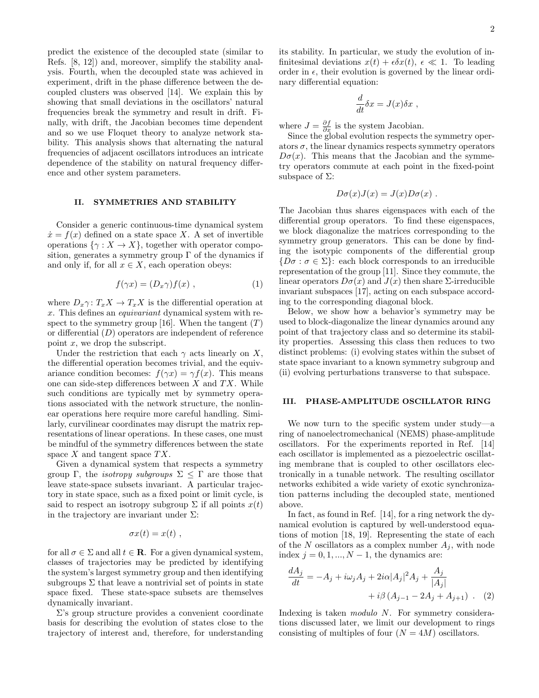predict the existence of the decoupled state (similar to Refs. [8, 12]) and, moreover, simplify the stability analysis. Fourth, when the decoupled state was achieved in experiment, drift in the phase difference between the decoupled clusters was observed [14]. We explain this by showing that small deviations in the oscillators' natural frequencies break the symmetry and result in drift. Finally, with drift, the Jacobian becomes time dependent and so we use Floquet theory to analyze network stability. This analysis shows that alternating the natural frequencies of adjacent oscillators introduces an intricate dependence of the stability on natural frequency difference and other system parameters.

# II. SYMMETRIES AND STABILITY

Consider a generic continuous-time dynamical system  $\dot{x} = f(x)$  defined on a state space X. A set of invertible operations  $\{\gamma : X \to X\}$ , together with operator composition, generates a symmetry group  $\Gamma$  of the dynamics if and only if, for all  $x \in X$ , each operation obeys:

$$
f(\gamma x) = (D_x \gamma) f(x) , \qquad (1)
$$

where  $D_x \gamma$ :  $T_x X \to T_x X$  is the differential operation at x. This defines an equivariant dynamical system with respect to the symmetry group [16]. When the tangent  $(T)$ or differential  $(D)$  operators are independent of reference point  $x$ , we drop the subscript.

Under the restriction that each  $\gamma$  acts linearly on X, the differential operation becomes trivial, and the equivariance condition becomes:  $f(\gamma x) = \gamma f(x)$ . This means one can side-step differences between  $X$  and  $TX$ . While such conditions are typically met by symmetry operations associated with the network structure, the nonlinear operations here require more careful handling. Similarly, curvilinear coordinates may disrupt the matrix representations of linear operations. In these cases, one must be mindful of the symmetry differences between the state space  $X$  and tangent space  $TX$ .

Given a dynamical system that respects a symmetry group Γ, the *isotropy subgroups*  $\Sigma \leq \Gamma$  are those that leave state-space subsets invariant. A particular trajectory in state space, such as a fixed point or limit cycle, is said to respect an isotropy subgroup  $\Sigma$  if all points  $x(t)$ in the trajectory are invariant under  $\Sigma$ :

$$
\sigma x(t) = x(t) ,
$$

for all  $\sigma \in \Sigma$  and all  $t \in \mathbf{R}$ . For a given dynamical system, classes of trajectories may be predicted by identifying the system's largest symmetry group and then identifying subgroups  $\Sigma$  that leave a nontrivial set of points in state space fixed. These state-space subsets are themselves dynamically invariant.

Σ's group structure provides a convenient coordinate basis for describing the evolution of states close to the trajectory of interest and, therefore, for understanding

its stability. In particular, we study the evolution of infinitesimal deviations  $x(t) + \epsilon \delta x(t)$ ,  $\epsilon \ll 1$ . To leading order in  $\epsilon$ , their evolution is governed by the linear ordinary differential equation:

$$
\frac{d}{dt}\delta x = J(x)\delta x ,
$$

where  $J = \frac{\partial f}{\partial x}$  is the system Jacobian.

Since the global evolution respects the symmetry operators  $\sigma$ , the linear dynamics respects symmetry operators  $D\sigma(x)$ . This means that the Jacobian and the symmetry operators commute at each point in the fixed-point subspace of  $\Sigma$ :

$$
D\sigma(x)J(x) = J(x)D\sigma(x) .
$$

The Jacobian thus shares eigenspaces with each of the differential group operators. To find these eigenspaces, we block diagonalize the matrices corresponding to the symmetry group generators. This can be done by finding the isotypic components of the differential group  ${D\sigma : \sigma \in \Sigma}$ : each block corresponds to an irreducible representation of the group [11]. Since they commute, the linear operators  $D\sigma(x)$  and  $J(x)$  then share  $\Sigma$ -irreducible invariant subspaces [17], acting on each subspace according to the corresponding diagonal block.

Below, we show how a behavior's symmetry may be used to block-diagonalize the linear dynamics around any point of that trajectory class and so determine its stability properties. Assessing this class then reduces to two distinct problems: (i) evolving states within the subset of state space invariant to a known symmetry subgroup and (ii) evolving perturbations transverse to that subspace.

#### III. PHASE-AMPLITUDE OSCILLATOR RING

We now turn to the specific system under study—a ring of nanoelectromechanical (NEMS) phase-amplitude oscillators. For the experiments reported in Ref. [14] each oscillator is implemented as a piezoelectric oscillating membrane that is coupled to other oscillators electronically in a tunable network. The resulting oscillator networks exhibited a wide variety of exotic synchronization patterns including the decoupled state, mentioned above.

In fact, as found in Ref. [14], for a ring network the dynamical evolution is captured by well-understood equations of motion [18, 19]. Representing the state of each of the N oscillators as a complex number  $A_i$ , with node index  $j = 0, 1, ..., N - 1$ , the dynamics are:

$$
\frac{dA_j}{dt} = -A_j + i\omega_j A_j + 2i\alpha |A_j|^2 A_j + \frac{A_j}{|A_j|} + i\beta (A_{j-1} - 2A_j + A_{j+1}).
$$
 (2)

Indexing is taken modulo N. For symmetry considerations discussed later, we limit our development to rings consisting of multiples of four  $(N = 4M)$  oscillators.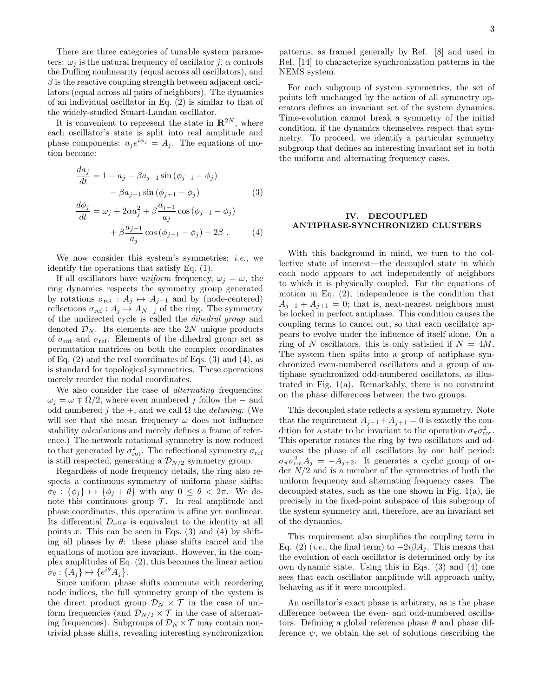There are three categories of tunable system parameters:  $\omega_i$  is the natural frequency of oscillator j,  $\alpha$  controls the Duffing nonlinearity (equal across all oscillators), and  $\beta$  is the reactive coupling strength between adjacent oscillators (equal across all pairs of neighbors). The dynamics of an individual oscillator in Eq. (2) is similar to that of the widely-studied Stuart-Landau oscillator.

It is convenient to represent the state in  $\mathbb{R}^{2N}$ , where each oscillator's state is split into real amplitude and phase components:  $a_j e^{i\phi_j} = A_j$ . The equations of motion become:

$$
\frac{da_j}{dt} = 1 - a_j - \beta a_{j-1} \sin (\phi_{j-1} - \phi_j) - \beta a_{j+1} \sin (\phi_{j+1} - \phi_j)
$$
\n(3)

$$
\frac{d\phi_j}{dt} = \omega_j + 2\alpha a_j^2 + \beta \frac{a_{j-1}}{a_j} \cos (\phi_{j-1} - \phi_j)
$$

$$
+ \beta \frac{a_{j+1}}{a_j} \cos (\phi_{j+1} - \phi_j) - 2\beta . \tag{4}
$$

We now consider this system's symmetries; *i.e.*, we identify the operations that satisfy Eq. (1).

If all oscillators have uniform frequency,  $\omega_i = \omega$ , the ring dynamics respects the symmetry group generated by rotations  $\sigma_{\text{rot}}$ :  $A_j \mapsto A_{j+1}$  and by (node-centered) reflections  $\sigma_{\text{ref}} : A_j \mapsto A_{N-j}$  of the ring. The symmetry of the undirected cycle is called the dihedral group and denoted  $\mathcal{D}_N$ . Its elements are the 2N unique products of  $\sigma_{\rm rot}$  and  $\sigma_{\rm ref}$ . Elements of the dihedral group act as permutation matrices on both the complex coordinates of Eq. (2) and the real coordinates of Eqs. (3) and (4), as is standard for topological symmetries. These operations merely reorder the nodal coordinates.

We also consider the case of *alternating* frequencies:  $\omega_i = \omega \mp \Omega/2$ , where even numbered j follow the – and odd numbered j the +, and we call  $\Omega$  the *detuning*. (We will see that the mean frequency  $\omega$  does not influence stability calculations and merely defines a frame of reference.) The network rotational symmetry is now reduced to that generated by  $\sigma_{\text{rot}}^2$ . The reflectional symmetry  $\sigma_{\text{ref}}$ is still respected, generating a  $\mathcal{D}_{N/2}$  symmetry group.

Regardless of node frequency details, the ring also respects a continuous symmetry of uniform phase shifts:  $\sigma_{\theta} : {\phi_i} \mapsto {\phi_i + \theta}$  with any  $0 \leq \theta < 2\pi$ . We denote this continuous group  $\mathcal{T}$ . In real amplitude and phase coordinates, this operation is affine yet nonlinear. Its differential  $D_x \sigma_\theta$  is equivalent to the identity at all points x. This can be seen in Eqs.  $(3)$  and  $(4)$  by shifting all phases by  $\theta$ : these phase shifts cancel and the equations of motion are invariant. However, in the complex amplitudes of Eq. (2), this becomes the linear action  $\sigma_{\theta} : \{A_j\} \mapsto \{e^{i\theta} A_j\}.$ 

Since uniform phase shifts commute with reordering node indices, the full symmetry group of the system is the direct product group  $\mathcal{D}_N \times \mathcal{T}$  in the case of uniform frequencies (and  $\mathcal{D}_{N/2} \times \mathcal{T}$  in the case of alternating frequencies). Subgroups of  $\mathcal{D}_N \times \mathcal{T}$  may contain nontrivial phase shifts, revealing interesting synchronization

patterns, as framed generally by Ref. [8] and used in Ref. [14] to characterize synchronization patterns in the NEMS system.

For each subgroup of system symmetries, the set of points left unchanged by the action of all symmetry operators defines an invariant set of the system dynamics. Time-evolution cannot break a symmetry of the initial condition, if the dynamics themselves respect that symmetry. To proceed, we identify a particular symmetry subgroup that defines an interesting invariant set in both the uniform and alternating frequency cases.

# IV. DECOUPLED ANTIPHASE-SYNCHRONIZED CLUSTERS

With this background in mind, we turn to the collective state of interest—the decoupled state in which each node appears to act independently of neighbors to which it is physically coupled. For the equations of motion in Eq. (2), independence is the condition that  $A_{i-1} + A_{i+1} = 0$ ; that is, next-nearest neighbors must be locked in perfect antiphase. This condition causes the coupling terms to cancel out, so that each oscillator appears to evolve under the influence of itself alone. On a ring of N oscillators, this is only satisfied if  $N = 4M$ . The system then splits into a group of antiphase synchronized even-numbered oscillators and a group of antiphase synchronized odd-numbered oscillators, as illustrated in Fig. 1(a). Remarkably, there is no constraint on the phase differences between the two groups.

This decoupled state reflects a system symmetry. Note that the requirement  $A_{j-1} + A_{j+1} = 0$  is exactly the condition for a state to be invariant to the operation  $\sigma_{\pi} \sigma_{\text{rot}}^2$ . This operator rotates the ring by two oscillators and advances the phase of all oscillators by one half period:  $\sigma_{\pi}\sigma_{\text{rot}}^2 A_j = -A_{j+2}$ . It generates a cyclic group of order  $N/2$  and is a member of the symmetries of both the uniform frequency and alternating frequency cases. The decoupled states, such as the one shown in Fig.  $1(a)$ , lie precisely in the fixed-point subspace of this subgroup of the system symmetry and, therefore, are an invariant set of the dynamics.

This requirement also simplifies the coupling term in Eq. (2) (*i.e.*, the final term) to  $-2i\beta A_i$ . This means that the evolution of each oscillator is determined only by its own dynamic state. Using this in Eqs. (3) and (4) one sees that each oscillator amplitude will approach unity, behaving as if it were uncoupled.

An oscillator's exact phase is arbitrary, as is the phase difference between the even- and odd-numbered oscillators. Defining a global reference phase  $\theta$  and phase difference  $\psi$ , we obtain the set of solutions describing the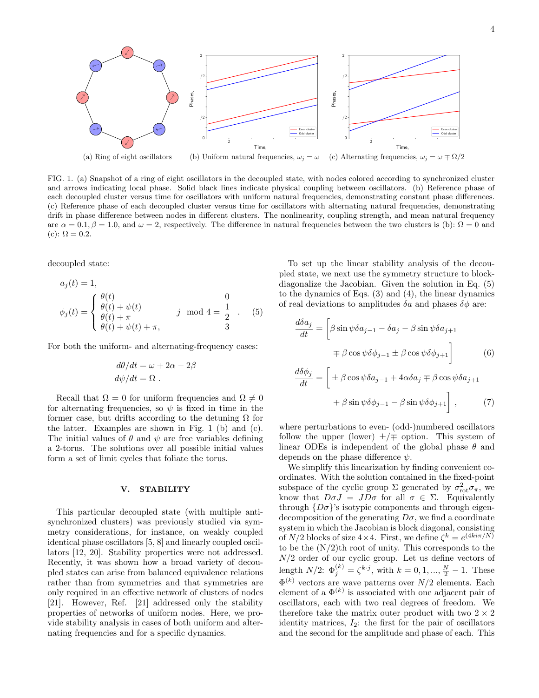

FIG. 1. (a) Snapshot of a ring of eight oscillators in the decoupled state, with nodes colored according to synchronized cluster and arrows indicating local phase. Solid black lines indicate physical coupling between oscillators. (b) Reference phase of each decoupled cluster versus time for oscillators with uniform natural frequencies, demonstrating constant phase differences. (c) Reference phase of each decoupled cluster versus time for oscillators with alternating natural frequencies, demonstrating drift in phase difference between nodes in different clusters. The nonlinearity, coupling strength, and mean natural frequency are  $\alpha = 0.1$ ,  $\beta = 1.0$ , and  $\omega = 2$ , respectively. The difference in natural frequencies between the two clusters is (b):  $\Omega = 0$  and (c):  $\Omega = 0.2$ .

decoupled state:

$$
a_j(t) = 1,
$$
  
\n
$$
\phi_j(t) = \begin{cases}\n\theta(t) & 0 \\
\theta(t) + \psi(t) & j \mod 4 = \frac{1}{2} \\
\theta(t) + \pi & j \mod 4 = \frac{1}{2} \\
\theta(t) + \psi(t) + \pi, & 3\n\end{cases}
$$
\n(5)

For both the uniform- and alternating-frequency cases:

$$
d\theta/dt = \omega + 2\alpha - 2\beta
$$
  

$$
d\psi/dt = \Omega.
$$

Recall that  $\Omega = 0$  for uniform frequencies and  $\Omega \neq 0$ for alternating frequencies, so  $\psi$  is fixed in time in the former case, but drifts according to the detuning  $\Omega$  for the latter. Examples are shown in Fig. 1 (b) and (c). The initial values of  $\theta$  and  $\psi$  are free variables defining a 2-torus. The solutions over all possible initial values form a set of limit cycles that foliate the torus.

### V. STABILITY

This particular decoupled state (with multiple antisynchronized clusters) was previously studied via symmetry considerations, for instance, on weakly coupled identical phase oscillators [5, 8] and linearly coupled oscillators [12, 20]. Stability properties were not addressed. Recently, it was shown how a broad variety of decoupled states can arise from balanced equivalence relations rather than from symmetries and that symmetries are only required in an effective network of clusters of nodes [21]. However, Ref. [21] addressed only the stability properties of networks of uniform nodes. Here, we provide stability analysis in cases of both uniform and alternating frequencies and for a specific dynamics.

To set up the linear stability analysis of the decoupled state, we next use the symmetry structure to blockdiagonalize the Jacobian. Given the solution in Eq. (5) to the dynamics of Eqs. (3) and (4), the linear dynamics of real deviations to amplitudes  $\delta a$  and phases  $\delta \phi$  are:

$$
\frac{d\delta a_j}{dt} = \left[ \beta \sin \psi \delta a_{j-1} - \delta a_j - \beta \sin \psi \delta a_{j+1} \right]
$$

$$
= \beta \cos \psi \delta \phi_{j-1} \pm \beta \cos \psi \delta \phi_{j+1} \right]
$$
(6)

$$
\frac{d\delta\phi_j}{dt} = \left[ \pm \beta \cos \psi \delta a_{j-1} + 4\alpha \delta a_j \mp \beta \cos \psi \delta a_{j+1} + \beta \sin \psi \delta \phi_{j-1} - \beta \sin \psi \delta \phi_{j+1} \right],
$$
\n(7)

where perturbations to even- (odd-)numbered oscillators follow the upper (lower)  $\pm/\mp$  option. This system of linear ODEs is independent of the global phase  $\theta$  and depends on the phase difference  $\psi$ .

We simplify this linearization by finding convenient coordinates. With the solution contained in the fixed-point subspace of the cyclic group  $\Sigma$  generated by  $\sigma_{\rm rot}^2 \sigma_{\pi}$ , we know that  $D\sigma J = JD\sigma$  for all  $\sigma \in \Sigma$ . Equivalently through  $\{D\sigma\}$ 's isotypic components and through eigendecomposition of the generating  $D\sigma$ , we find a coordinate system in which the Jacobian is block diagonal, consisting of  $N/2$  blocks of size  $4 \times 4$ . First, we define  $\zeta^k = e^{(4ki\pi/N)}$ to be the  $(N/2)$ <sup>th</sup> root of unity. This corresponds to the  $N/2$  order of our cyclic group. Let us define vectors of length  $N/2$ :  $\Phi_j^{(k)} = \zeta^{k \cdot j}$ , with  $k = 0, 1, ..., \frac{N}{2} - 1$ . These  $\Phi^{(k)}$  vectors are wave patterns over  $N/2$  elements. Each element of a  $\Phi^{(k)}$  is associated with one adjacent pair of oscillators, each with two real degrees of freedom. We therefore take the matrix outer product with two  $2 \times 2$ identity matrices,  $I_2$ : the first for the pair of oscillators and the second for the amplitude and phase of each. This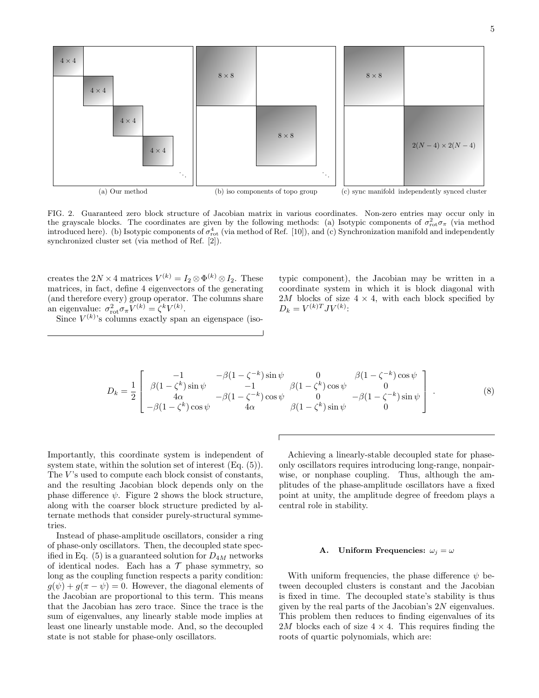5



FIG. 2. Guaranteed zero block structure of Jacobian matrix in various coordinates. Non-zero entries may occur only in the grayscale blocks. The coordinates are given by the following methods: (a) Isotypic components of  $\sigma_{\rm rot}^2 \sigma_{\pi}$  (via method introduced here). (b) Isotypic components of  $\sigma_{\rm rot}^4$  (via method of Ref. [10]), and (c) Synchronization manifold and independently synchronized cluster set (via method of Ref. [2]).

creates the  $2N \times 4$  matrices  $V^{(k)} = I_2 \otimes \Phi^{(k)} \otimes I_2$ . These matrices, in fact, define 4 eigenvectors of the generating (and therefore every) group operator. The columns share an eigenvalue:  $\sigma_{\text{rot}}^2 \sigma_{\pi} V^{(k)} = \zeta^k V^{(k)}$ .

Since  $V^{(k)}$ 's columns exactly span an eigenspace (iso-

typic component), the Jacobian may be written in a coordinate system in which it is block diagonal with 2M blocks of size  $4 \times 4$ , with each block specified by  $D_k = V^{(k)T} J V^{(k)}$ :

$$
D_k = \frac{1}{2} \begin{bmatrix} -1 & -\beta(1 - \zeta^{-k})\sin\psi & 0 & \beta(1 - \zeta^{-k})\cos\psi \\ \beta(1 - \zeta^{k})\sin\psi & -1 & \beta(1 - \zeta^{k})\cos\psi & 0 \\ 4\alpha & -\beta(1 - \zeta^{-k})\cos\psi & 0 & -\beta(1 - \zeta^{-k})\sin\psi \\ -\beta(1 - \zeta^{k})\cos\psi & 4\alpha & \beta(1 - \zeta^{k})\sin\psi & 0 \end{bmatrix} . \tag{8}
$$

Importantly, this coordinate system is independent of system state, within the solution set of interest (Eq.  $(5)$ ). The  $V$ 's used to compute each block consist of constants, and the resulting Jacobian block depends only on the phase difference  $\psi$ . Figure 2 shows the block structure, along with the coarser block structure predicted by alternate methods that consider purely-structural symmetries.

Instead of phase-amplitude oscillators, consider a ring of phase-only oscillators. Then, the decoupled state specified in Eq.  $(5)$  is a guaranteed solution for  $D_{4M}$  networks of identical nodes. Each has a  $\mathcal T$  phase symmetry, so long as the coupling function respects a parity condition:  $g(\psi) + g(\pi - \psi) = 0$ . However, the diagonal elements of the Jacobian are proportional to this term. This means that the Jacobian has zero trace. Since the trace is the sum of eigenvalues, any linearly stable mode implies at least one linearly unstable mode. And, so the decoupled state is not stable for phase-only oscillators.

Achieving a linearly-stable decoupled state for phaseonly oscillators requires introducing long-range, nonpairwise, or nonphase coupling. Thus, although the amplitudes of the phase-amplitude oscillators have a fixed point at unity, the amplitude degree of freedom plays a central role in stability.

#### A. Uniform Frequencies:  $\omega_i = \omega$

With uniform frequencies, the phase difference  $\psi$  between decoupled clusters is constant and the Jacobian is fixed in time. The decoupled state's stability is thus given by the real parts of the Jacobian's 2N eigenvalues. This problem then reduces to finding eigenvalues of its 2M blocks each of size  $4 \times 4$ . This requires finding the roots of quartic polynomials, which are: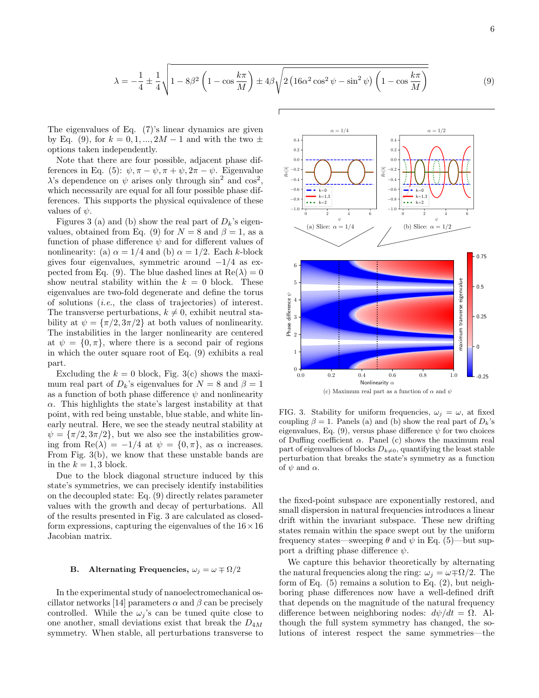The eigenvalues of Eq. (7)'s linear dynamics are given by Eq. (9), for  $k = 0, 1, ..., 2M - 1$  and with the two  $\pm$ options taken independently.

Note that there are four possible, adjacent phase differences in Eq. (5):  $\psi$ ,  $\pi - \psi$ ,  $\pi + \psi$ ,  $2\pi - \psi$ . Eigenvalue  $\lambda$ 's dependence on  $\psi$  arises only through  $\sin^2$  and  $\cos^2$ , which necessarily are equal for all four possible phase differences. This supports the physical equivalence of these values of  $\psi$ .

Figures 3 (a) and (b) show the real part of  $D_k$ 's eigenvalues, obtained from Eq. (9) for  $N = 8$  and  $\beta = 1$ , as a function of phase difference  $\psi$  and for different values of nonlinearity: (a)  $\alpha = 1/4$  and (b)  $\alpha = 1/2$ . Each k-block gives four eigenvalues, symmetric around  $-1/4$  as expected from Eq. (9). The blue dashed lines at  $\text{Re}(\lambda) = 0$ show neutral stability within the  $k = 0$  block. These eigenvalues are two-fold degenerate and define the torus of solutions (i.e., the class of trajectories) of interest. The transverse perturbations,  $k \neq 0$ , exhibit neutral stability at  $\psi = \{\pi/2, 3\pi/2\}$  at both values of nonlinearity. The instabilities in the larger nonlinearity are centered at  $\psi = \{0, \pi\}$ , where there is a second pair of regions in which the outer square root of Eq. (9) exhibits a real part.

Excluding the  $k = 0$  block, Fig. 3(c) shows the maximum real part of  $D_k$ 's eigenvalues for  $N = 8$  and  $\beta = 1$ as a function of both phase difference  $\psi$  and nonlinearity  $\alpha$ . This highlights the state's largest instability at that point, with red being unstable, blue stable, and white linearly neutral. Here, we see the steady neutral stability at  $\psi = {\pi/2, 3\pi/2}$ , but we also see the instabilities growing from  $\text{Re}(\lambda) = -1/4$  at  $\psi = \{0, \pi\}$ , as  $\alpha$  increases. From Fig. 3(b), we know that these unstable bands are in the  $k = 1, 3$  block.

Due to the block diagonal structure induced by this state's symmetries, we can precisely identify instabilities on the decoupled state: Eq. (9) directly relates parameter values with the growth and decay of perturbations. All of the results presented in Fig. 3 are calculated as closedform expressions, capturing the eigenvalues of the  $16 \times 16$ Jacobian matrix.

# B. Alternating Frequencies,  $\omega_j = \omega \mp \Omega/2$

In the experimental study of nanoelectromechanical oscillator networks [14] parameters  $\alpha$  and  $\beta$  can be precisely controlled. While the  $\omega_i$ 's can be tuned quite close to one another, small deviations exist that break the  $D_{4M}$ symmetry. When stable, all perturbations transverse to



FIG. 3. Stability for uniform frequencies,  $\omega_j = \omega$ , at fixed coupling  $\beta = 1$ . Panels (a) and (b) show the real part of  $D_k$ 's eigenvalues, Eq. (9), versus phase difference  $\psi$  for two choices of Duffing coefficient  $\alpha$ . Panel (c) shows the maximum real part of eigenvalues of blocks  $D_{k\neq0}$ , quantifying the least stable perturbation that breaks the state's symmetry as a function of  $\psi$  and  $\alpha$ .

the fixed-point subspace are exponentially restored, and small dispersion in natural frequencies introduces a linear drift within the invariant subspace. These new drifting states remain within the space swept out by the uniform frequency states—sweeping  $\theta$  and  $\psi$  in Eq. (5)—but support a drifting phase difference  $\psi$ .

We capture this behavior theoretically by alternating the natural frequencies along the ring:  $\omega_j = \omega \mp \Omega/2$ . The form of Eq.  $(5)$  remains a solution to Eq.  $(2)$ , but neighboring phase differences now have a well-defined drift that depends on the magnitude of the natural frequency difference between neighboring nodes:  $d\psi/dt = \Omega$ . Although the full system symmetry has changed, the solutions of interest respect the same symmetries—the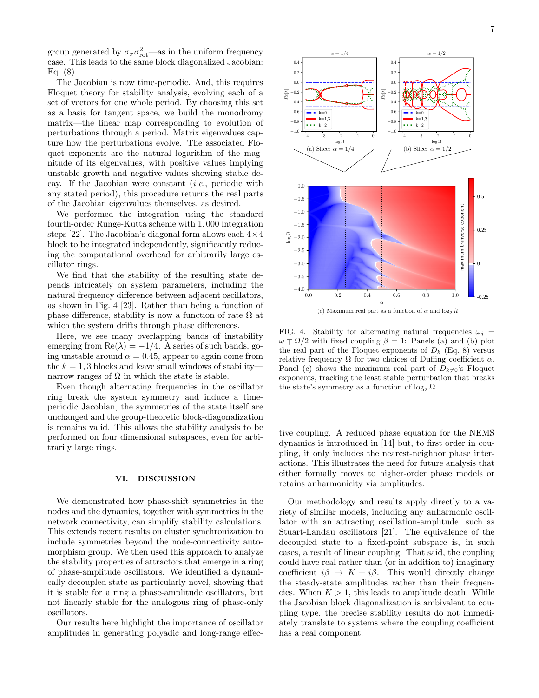group generated by  $\sigma_{\pi}\sigma_{\rm rot}^2$ —as in the uniform frequency case. This leads to the same block diagonalized Jacobian: Eq. (8).

The Jacobian is now time-periodic. And, this requires Floquet theory for stability analysis, evolving each of a set of vectors for one whole period. By choosing this set as a basis for tangent space, we build the monodromy matrix—the linear map corresponding to evolution of perturbations through a period. Matrix eigenvalues capture how the perturbations evolve. The associated Floquet exponents are the natural logarithm of the magnitude of its eigenvalues, with positive values implying unstable growth and negative values showing stable decay. If the Jacobian were constant (i.e., periodic with any stated period), this procedure returns the real parts of the Jacobian eigenvalues themselves, as desired.

We performed the integration using the standard fourth-order Runge-Kutta scheme with 1, 000 integration steps [22]. The Jacobian's diagonal form allows each  $4 \times 4$ block to be integrated independently, significantly reducing the computational overhead for arbitrarily large oscillator rings.

We find that the stability of the resulting state depends intricately on system parameters, including the natural frequency difference between adjacent oscillators, as shown in Fig. 4 [23]. Rather than being a function of phase difference, stability is now a function of rate  $\Omega$  at which the system drifts through phase differences.

Here, we see many overlapping bands of instability emerging from  $\text{Re}(\lambda) = -1/4$ . A series of such bands, going unstable around  $\alpha = 0.45$ , appear to again come from the  $k = 1, 3$  blocks and leave small windows of stability narrow ranges of  $\Omega$  in which the state is stable.

Even though alternating frequencies in the oscillator ring break the system symmetry and induce a timeperiodic Jacobian, the symmetries of the state itself are unchanged and the group-theoretic block-diagonalization is remains valid. This allows the stability analysis to be performed on four dimensional subspaces, even for arbitrarily large rings.

### VI. DISCUSSION

We demonstrated how phase-shift symmetries in the nodes and the dynamics, together with symmetries in the network connectivity, can simplify stability calculations. This extends recent results on cluster synchronization to include symmetries beyond the node-connectivity automorphism group. We then used this approach to analyze the stability properties of attractors that emerge in a ring of phase-amplitude oscillators. We identified a dynamically decoupled state as particularly novel, showing that it is stable for a ring a phase-amplitude oscillators, but not linearly stable for the analogous ring of phase-only oscillators.

Our results here highlight the importance of oscillator amplitudes in generating polyadic and long-range effec-



FIG. 4. Stability for alternating natural frequencies  $\omega_i$  =  $\omega \mp \Omega/2$  with fixed coupling  $\beta = 1$ : Panels (a) and (b) plot the real part of the Floquet exponents of  $D_k$  (Eq. 8) versus relative frequency  $\Omega$  for two choices of Duffing coefficient  $\alpha$ . Panel (c) shows the maximum real part of  $D_{k\neq0}$ 's Floquet exponents, tracking the least stable perturbation that breaks the state's symmetry as a function of  $\log_2 \Omega$ .

tive coupling. A reduced phase equation for the NEMS dynamics is introduced in [14] but, to first order in coupling, it only includes the nearest-neighbor phase interactions. This illustrates the need for future analysis that either formally moves to higher-order phase models or retains anharmonicity via amplitudes.

Our methodology and results apply directly to a variety of similar models, including any anharmonic oscillator with an attracting oscillation-amplitude, such as Stuart-Landau oscillators [21]. The equivalence of the decoupled state to a fixed-point subspace is, in such cases, a result of linear coupling. That said, the coupling could have real rather than (or in addition to) imaginary coefficient  $i\beta \rightarrow K + i\beta$ . This would directly change the steady-state amplitudes rather than their frequencies. When  $K > 1$ , this leads to amplitude death. While the Jacobian block diagonalization is ambivalent to coupling type, the precise stability results do not immediately translate to systems where the coupling coefficient has a real component.